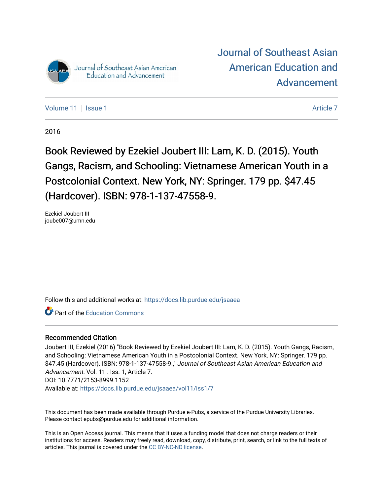

[Journal of Southeast Asian](https://docs.lib.purdue.edu/jsaaea)  [American Education and](https://docs.lib.purdue.edu/jsaaea)  [Advancement](https://docs.lib.purdue.edu/jsaaea) 

[Volume 11](https://docs.lib.purdue.edu/jsaaea/vol11) | [Issue 1](https://docs.lib.purdue.edu/jsaaea/vol11/iss1) [Article 7](https://docs.lib.purdue.edu/jsaaea/vol11/iss1/7) Article 7 Article 7 Article 7 Article 7 Article 7 Article 7 Article 7 Article 7

2016

Book Reviewed by Ezekiel Joubert III: Lam, K. D. (2015). Youth Gangs, Racism, and Schooling: Vietnamese American Youth in a Postcolonial Context. New York, NY: Springer. 179 pp. \$47.45 (Hardcover). ISBN: 978-1-137-47558-9.

Ezekiel Joubert III joube007@umn.edu

Follow this and additional works at: [https://docs.lib.purdue.edu/jsaaea](https://docs.lib.purdue.edu/jsaaea?utm_source=docs.lib.purdue.edu%2Fjsaaea%2Fvol11%2Fiss1%2F7&utm_medium=PDF&utm_campaign=PDFCoverPages) 

**C** Part of the [Education Commons](http://network.bepress.com/hgg/discipline/784?utm_source=docs.lib.purdue.edu%2Fjsaaea%2Fvol11%2Fiss1%2F7&utm_medium=PDF&utm_campaign=PDFCoverPages)

### Recommended Citation

Joubert III, Ezekiel (2016) "Book Reviewed by Ezekiel Joubert III: Lam, K. D. (2015). Youth Gangs, Racism, and Schooling: Vietnamese American Youth in a Postcolonial Context. New York, NY: Springer. 179 pp. \$47.45 (Hardcover). ISBN: 978-1-137-47558-9.," Journal of Southeast Asian American Education and Advancement: Vol. 11 : Iss. 1, Article 7. DOI: 10.7771/2153-8999.1152 Available at: [https://docs.lib.purdue.edu/jsaaea/vol11/iss1/7](https://docs.lib.purdue.edu/jsaaea/vol11/iss1/7?utm_source=docs.lib.purdue.edu%2Fjsaaea%2Fvol11%2Fiss1%2F7&utm_medium=PDF&utm_campaign=PDFCoverPages) 

This document has been made available through Purdue e-Pubs, a service of the Purdue University Libraries. Please contact epubs@purdue.edu for additional information.

This is an Open Access journal. This means that it uses a funding model that does not charge readers or their institutions for access. Readers may freely read, download, copy, distribute, print, search, or link to the full texts of articles. This journal is covered under the [CC BY-NC-ND license](https://creativecommons.org/licenses/by-nc-nd/4.0/).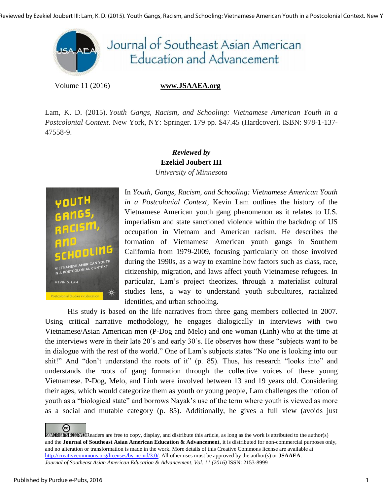

Volume 11 (2016) **www.JSAAEA.org**

Lam, K. D. (2015). *Youth Gangs, Racism, and Schooling: Vietnamese American Youth in a Postcolonial Context*. New York, NY: Springer. 179 pp. \$47.45 (Hardcover). ISBN: 978-1-137- 47558-9.



## *Reviewed by*  **Ezekiel Joubert III** *University of Minnesota*

In *Youth, Gangs, Racism, and Schooling: Vietnamese American Youth in a Postcolonial Context*, Kevin Lam outlines the history of the Vietnamese American youth gang phenomenon as it relates to U.S. imperialism and state sanctioned violence within the backdrop of US occupation in Vietnam and American racism. He describes the formation of Vietnamese American youth gangs in Southern California from 1979-2009, focusing particularly on those involved during the 1990s, as a way to examine how factors such as class, race, citizenship, migration, and laws affect youth Vietnamese refugees. In particular, Lam's project theorizes, through a materialist cultural studies lens, a way to understand youth subcultures, racialized identities, and urban schooling.

His study is based on the life narratives from three gang members collected in 2007. Using critical narrative methodology, he engages dialogically in interviews with two Vietnamese/Asian American men (P-Dog and Melo) and one woman (Linh) who at the time at the interviews were in their late 20's and early 30's. He observes how these "subjects want to be in dialogue with the rest of the world." One of Lam's subjects states "No one is looking into our shit!" And "don't understand the roots of it" (p. 85). Thus, his research "looks into" and understands the roots of gang formation through the collective voices of these young Vietnamese. P-Dog, Melo, and Linh were involved between 13 and 19 years old. Considering their ages, which would categorize them as youth or young people, Lam challenges the notion of youth as a "biological state" and borrows Nayak's use of the term where youth is viewed as more as a social and mutable category (p. 85). Additionally, he gives a full view (avoids just

@  $SOMF$  RIGHTS RESERVED Readers are free to copy, display, and distribute this article, as long as the work is attributed to the author(s) and the **Journal of Southeast Asian American Education & Advancement**, it is distributed for non-commercial purposes only, and no alteration or transformation is made in the work. More details of this Creative Commons license are available at http://creativecommons.org/licenses/by-nc-nd/3.0/. All other uses must be approved by the author(s) or **JSAAEA**. *Journal of Southeast Asian American Education & Advancement, Vol. 11 (2016)* ISSN: 2153-8999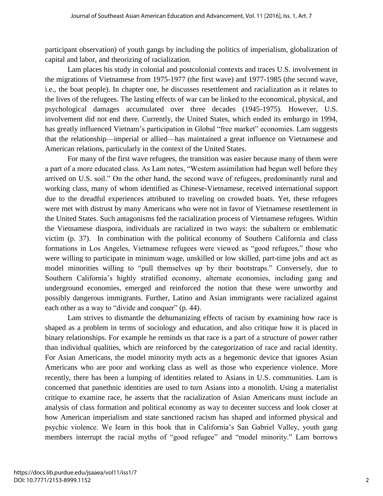participant observation) of youth gangs by including the politics of imperialism, globalization of capital and labor, and theorizing of racialization.

Lam places his study in colonial and postcolonial contexts and traces U.S. involvement in the migrations of Vietnamese from 1975-1977 (the first wave) and 1977-1985 (the second wave, i.e., the boat people). In chapter one, he discusses resettlement and racialization as it relates to the lives of the refugees. The lasting effects of war can be linked to the economical, physical, and psychological damages accumulated over three decades (1945-1975). However, U.S. involvement did not end there. Currently, the United States, which ended its embargo in 1994, has greatly influenced Vietnam's participation in Global "free market" economies. Lam suggests that the relationship—imperial or allied—has maintained a great influence on Vietnamese and American relations, particularly in the context of the United States.

For many of the first wave refugees, the transition was easier because many of them were a part of a more educated class. As Lam notes, "Western assimilation had begun well before they arrived on U.S. soil." On the other hand, the second wave of refugees, predominantly rural and working class, many of whom identified as Chinese-Vietnamese, received international support due to the dreadful experiences attributed to traveling on crowded boats. Yet, these refugees were met with distrust by many Americans who were not in favor of Vietnamese resettlement in the United States. Such antagonisms fed the racialization process of Vietnamese refugees. Within the Vietnamese diaspora, individuals are racialized in two ways: the subaltern or emblematic victim (p. 37). In combination with the political economy of Southern California and class formations in Los Angeles, Vietnamese refugees were viewed as "good refugees," those who were willing to participate in minimum wage, unskilled or low skilled, part-time jobs and act as model minorities willing to "pull themselves up by their bootstraps." Conversely, due to Southern California's highly stratified economy, alternate economies, including gang and underground economies, emerged and reinforced the notion that these were unworthy and possibly dangerous immigrants. Further, Latino and Asian immigrants were racialized against each other as a way to "divide and conquer" (p. 44).

Lam strives to dismantle the dehumanizing effects of racism by examining how race is shaped as a problem in terms of sociology and education, and also critique how it is placed in binary relationships. For example he reminds us that race is a part of a structure of power rather than individual qualities, which are reinforced by the categorization of race and racial identity. For Asian Americans, the model minority myth acts as a hegemonic device that ignores Asian Americans who are poor and working class as well as those who experience violence. More recently, there has been a lumping of identities related to Asians in U.S. communities. Lam is concerned that panethnic identities are used to turn Asians into a monolith. Using a materialist critique to examine race, he asserts that the racialization of Asian Americans must include an analysis of class formation and political economy as way to decenter success and look closer at how American imperialism and state sanctioned racism has shaped and informed physical and psychic violence. We learn in this book that in California's San Gabriel Valley, youth gang members interrupt the racial myths of "good refugee" and "model minority." Lam borrows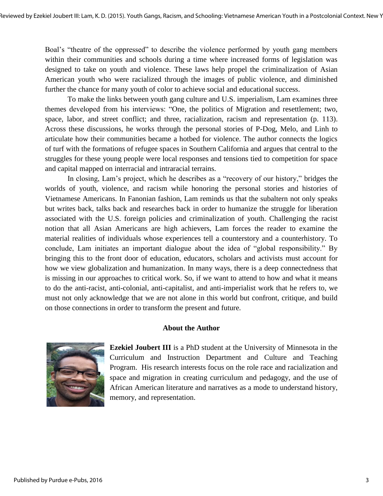Boal's "theatre of the oppressed" to describe the violence performed by youth gang members within their communities and schools during a time where increased forms of legislation was designed to take on youth and violence. These laws help propel the criminalization of Asian American youth who were racialized through the images of public violence, and diminished further the chance for many youth of color to achieve social and educational success.

To make the links between youth gang culture and U.S. imperialism, Lam examines three themes developed from his interviews: "One, the politics of Migration and resettlement; two, space, labor, and street conflict; and three, racialization, racism and representation (p. 113). Across these discussions, he works through the personal stories of P-Dog, Melo, and Linh to articulate how their communities became a hotbed for violence. The author connects the logics of turf with the formations of refugee spaces in Southern California and argues that central to the struggles for these young people were local responses and tensions tied to competition for space and capital mapped on interracial and intraracial terrains.

In closing, Lam's project, which he describes as a "recovery of our history," bridges the worlds of youth, violence, and racism while honoring the personal stories and histories of Vietnamese Americans. In Fanonian fashion, Lam reminds us that the subaltern not only speaks but writes back, talks back and researches back in order to humanize the struggle for liberation associated with the U.S. foreign policies and criminalization of youth. Challenging the racist notion that all Asian Americans are high achievers, Lam forces the reader to examine the material realities of individuals whose experiences tell a counterstory and a counterhistory. To conclude, Lam initiates an important dialogue about the idea of "global responsibility." By bringing this to the front door of education, educators, scholars and activists must account for how we view globalization and humanization. In many ways, there is a deep connectedness that is missing in our approaches to critical work. So, if we want to attend to how and what it means to do the anti-racist, anti-colonial, anti-capitalist, and anti-imperialist work that he refers to, we must not only acknowledge that we are not alone in this world but confront, critique, and build on those connections in order to transform the present and future.

### **About the Author**



**Ezekiel Joubert III** is a PhD student at the University of Minnesota in the Curriculum and Instruction Department and Culture and Teaching Program. His research interests focus on the role race and racialization and space and migration in creating curriculum and pedagogy, and the use of African American literature and narratives as a mode to understand history, memory, and representation.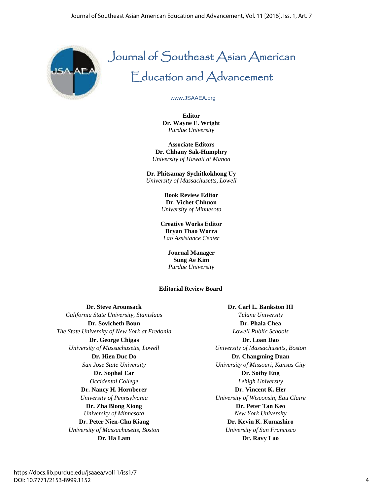

# Journal of Southeast Asian American Education and Advancement

# www.JSAAEA.org

**Editor Dr. Wayne E. Wright** *Purdue University*

**Associate Editors Dr. Chhany Sak-Humphry** *University of Hawaii at Manoa*

**Dr. Phitsamay Sychitkokhong Uy** *University of Massachusetts, Lowell*

> **Book Review Editor Dr. Vichet Chhuon** *University of Minnesota*

**Creative Works Editor Bryan Thao Worra** *Lao Assistance Center*

> **Journal Manager Sung Ae Kim** *Purdue University*

### **Editorial Review Board**

**Dr. Steve Arounsack** *California State University, Stanislaus* **Dr. Sovicheth Boun** *The State University of New York at Fredonia* **Dr. George Chigas** *University of Massachusetts, Lowell* **Dr. Hien Duc Do** *San Jose State University* **Dr. Sophal Ear** *Occidental College* **Dr. Nancy H. Hornberer** *University of Pennsylvania* **Dr. Zha Blong Xiong** *University of Minnesota* **Dr. Peter Nien-Chu Kiang** *University of Massachusetts, Boston* **Dr. Ha Lam Dr. Ravy Lao**

**Dr. Carl L. Bankston III** *Tulane University* **Dr. Phala Chea** *Lowell Public Schools* **Dr. Loan Dao** *University of Massachusetts, Boston* **Dr. Changming Duan** *University of Missouri, Kansas City* **Dr. Sothy Eng** *Lehigh University* **Dr. Vincent K. Her** *University of Wisconsin, Eau Claire* **Dr. Peter Tan Keo** *New York University*  **Dr. Kevin K. Kumashiro** *University of San Francisco*